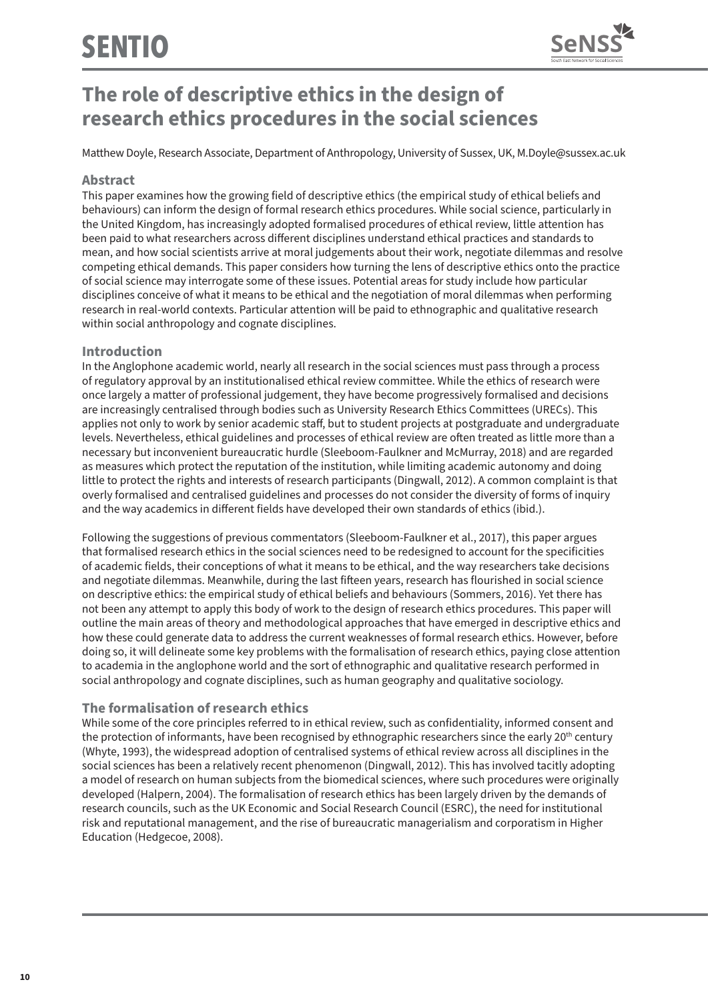

# **The role of descriptive ethics in the design of research ethics procedures in the social sciences**

Matthew Doyle, Research Associate, Department of Anthropology, University of Sussex, UK, M.Doyle@sussex.ac.uk

## **Abstract**

This paper examines how the growing field of descriptive ethics (the empirical study of ethical beliefs and behaviours) can inform the design of formal research ethics procedures. While social science, particularly in the United Kingdom, has increasingly adopted formalised procedures of ethical review, little attention has been paid to what researchers across different disciplines understand ethical practices and standards to mean, and how social scientists arrive at moral judgements about their work, negotiate dilemmas and resolve competing ethical demands. This paper considers how turning the lens of descriptive ethics onto the practice of social science may interrogate some of these issues. Potential areas for study include how particular disciplines conceive of what it means to be ethical and the negotiation of moral dilemmas when performing research in real-world contexts. Particular attention will be paid to ethnographic and qualitative research within social anthropology and cognate disciplines.

## **Introduction**

In the Anglophone academic world, nearly all research in the social sciences must pass through a process of regulatory approval by an institutionalised ethical review committee. While the ethics of research were once largely a matter of professional judgement, they have become progressively formalised and decisions are increasingly centralised through bodies such as University Research Ethics Committees (URECs). This applies not only to work by senior academic staff, but to student projects at postgraduate and undergraduate levels. Nevertheless, ethical guidelines and processes of ethical review are often treated as little more than a necessary but inconvenient bureaucratic hurdle (Sleeboom-Faulkner and McMurray, 2018) and are regarded as measures which protect the reputation of the institution, while limiting academic autonomy and doing little to protect the rights and interests of research participants (Dingwall, 2012). A common complaint is that overly formalised and centralised guidelines and processes do not consider the diversity of forms of inquiry and the way academics in different fields have developed their own standards of ethics (ibid.).

Following the suggestions of previous commentators (Sleeboom-Faulkner et al., 2017), this paper argues that formalised research ethics in the social sciences need to be redesigned to account for the specificities of academic fields, their conceptions of what it means to be ethical, and the way researchers take decisions and negotiate dilemmas. Meanwhile, during the last fifteen years, research has flourished in social science on descriptive ethics: the empirical study of ethical beliefs and behaviours (Sommers, 2016). Yet there has not been any attempt to apply this body of work to the design of research ethics procedures. This paper will outline the main areas of theory and methodological approaches that have emerged in descriptive ethics and how these could generate data to address the current weaknesses of formal research ethics. However, before doing so, it will delineate some key problems with the formalisation of research ethics, paying close attention to academia in the anglophone world and the sort of ethnographic and qualitative research performed in social anthropology and cognate disciplines, such as human geography and qualitative sociology.

## **The formalisation of research ethics**

While some of the core principles referred to in ethical review, such as confidentiality, informed consent and the protection of informants, have been recognised by ethnographic researchers since the early 20<sup>th</sup> century (Whyte, 1993), the widespread adoption of centralised systems of ethical review across all disciplines in the social sciences has been a relatively recent phenomenon (Dingwall, 2012). This has involved tacitly adopting a model of research on human subjects from the biomedical sciences, where such procedures were originally developed (Halpern, 2004). The formalisation of research ethics has been largely driven by the demands of research councils, such as the UK Economic and Social Research Council (ESRC), the need for institutional risk and reputational management, and the rise of bureaucratic managerialism and corporatism in Higher Education (Hedgecoe, 2008).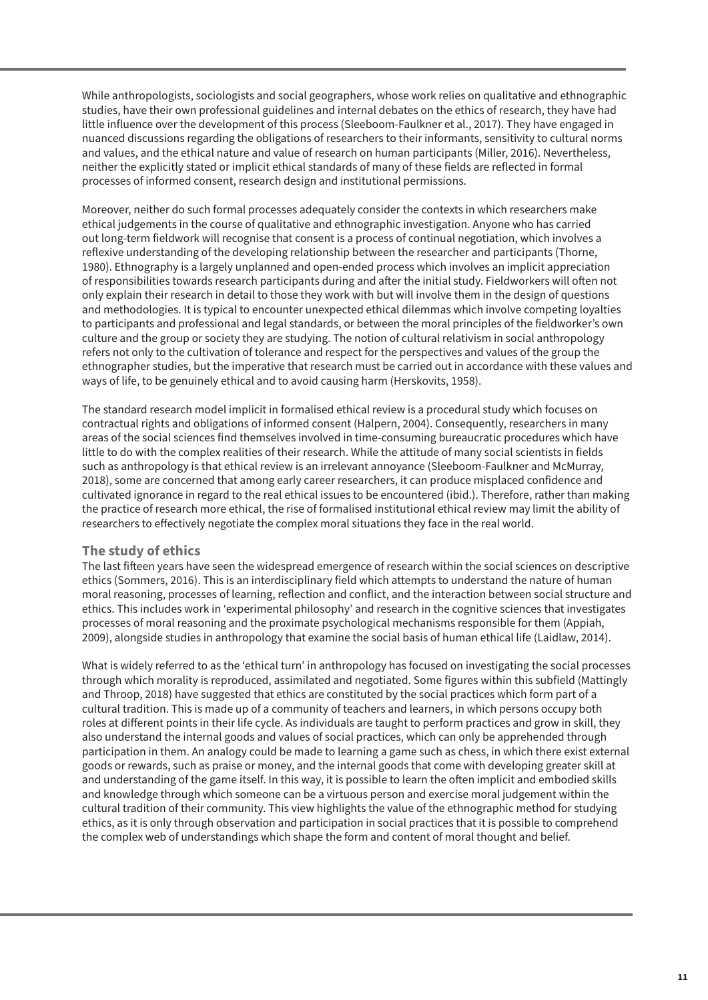While anthropologists, sociologists and social geographers, whose work relies on qualitative and ethnographic studies, have their own professional guidelines and internal debates on the ethics of research, they have had little influence over the development of this process (Sleeboom-Faulkner et al., 2017). They have engaged in nuanced discussions regarding the obligations of researchers to their informants, sensitivity to cultural norms and values, and the ethical nature and value of research on human participants (Miller, 2016). Nevertheless, neither the explicitly stated or implicit ethical standards of many of these fields are reflected in formal processes of informed consent, research design and institutional permissions.

Moreover, neither do such formal processes adequately consider the contexts in which researchers make ethical judgements in the course of qualitative and ethnographic investigation. Anyone who has carried out long-term fieldwork will recognise that consent is a process of continual negotiation, which involves a reflexive understanding of the developing relationship between the researcher and participants (Thorne, 1980). Ethnography is a largely unplanned and open-ended process which involves an implicit appreciation of responsibilities towards research participants during and after the initial study. Fieldworkers will often not only explain their research in detail to those they work with but will involve them in the design of questions and methodologies. It is typical to encounter unexpected ethical dilemmas which involve competing loyalties to participants and professional and legal standards, or between the moral principles of the fieldworker's own culture and the group or society they are studying. The notion of cultural relativism in social anthropology refers not only to the cultivation of tolerance and respect for the perspectives and values of the group the ethnographer studies, but the imperative that research must be carried out in accordance with these values and ways of life, to be genuinely ethical and to avoid causing harm (Herskovits, 1958).

The standard research model implicit in formalised ethical review is a procedural study which focuses on contractual rights and obligations of informed consent (Halpern, 2004). Consequently, researchers in many areas of the social sciences find themselves involved in time-consuming bureaucratic procedures which have little to do with the complex realities of their research. While the attitude of many social scientists in fields such as anthropology is that ethical review is an irrelevant annoyance (Sleeboom-Faulkner and McMurray, 2018), some are concerned that among early career researchers, it can produce misplaced confidence and cultivated ignorance in regard to the real ethical issues to be encountered (ibid.). Therefore, rather than making the practice of research more ethical, the rise of formalised institutional ethical review may limit the ability of researchers to effectively negotiate the complex moral situations they face in the real world.

## **The study of ethics**

The last fifteen years have seen the widespread emergence of research within the social sciences on descriptive ethics (Sommers, 2016). This is an interdisciplinary field which attempts to understand the nature of human moral reasoning, processes of learning, reflection and conflict, and the interaction between social structure and ethics. This includes work in 'experimental philosophy' and research in the cognitive sciences that investigates processes of moral reasoning and the proximate psychological mechanisms responsible for them (Appiah, 2009), alongside studies in anthropology that examine the social basis of human ethical life (Laidlaw, 2014).

What is widely referred to as the 'ethical turn' in anthropology has focused on investigating the social processes through which morality is reproduced, assimilated and negotiated. Some figures within this subfield (Mattingly and Throop, 2018) have suggested that ethics are constituted by the social practices which form part of a cultural tradition. This is made up of a community of teachers and learners, in which persons occupy both roles at different points in their life cycle. As individuals are taught to perform practices and grow in skill, they also understand the internal goods and values of social practices, which can only be apprehended through participation in them. An analogy could be made to learning a game such as chess, in which there exist external goods or rewards, such as praise or money, and the internal goods that come with developing greater skill at and understanding of the game itself. In this way, it is possible to learn the often implicit and embodied skills and knowledge through which someone can be a virtuous person and exercise moral judgement within the cultural tradition of their community. This view highlights the value of the ethnographic method for studying ethics, as it is only through observation and participation in social practices that it is possible to comprehend the complex web of understandings which shape the form and content of moral thought and belief.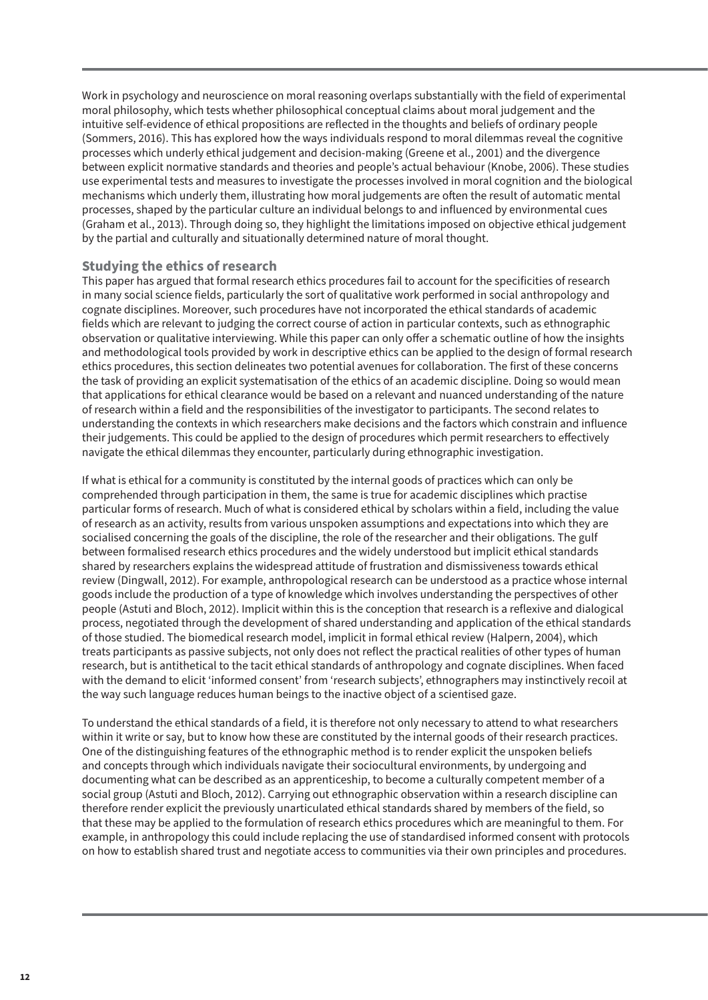Work in psychology and neuroscience on moral reasoning overlaps substantially with the field of experimental moral philosophy, which tests whether philosophical conceptual claims about moral judgement and the intuitive self-evidence of ethical propositions are reflected in the thoughts and beliefs of ordinary people (Sommers, 2016). This has explored how the ways individuals respond to moral dilemmas reveal the cognitive processes which underly ethical judgement and decision-making (Greene et al., 2001) and the divergence between explicit normative standards and theories and people's actual behaviour (Knobe, 2006). These studies use experimental tests and measures to investigate the processes involved in moral cognition and the biological mechanisms which underly them, illustrating how moral judgements are often the result of automatic mental processes, shaped by the particular culture an individual belongs to and influenced by environmental cues (Graham et al., 2013). Through doing so, they highlight the limitations imposed on objective ethical judgement by the partial and culturally and situationally determined nature of moral thought.

## **Studying the ethics of research**

This paper has argued that formal research ethics procedures fail to account for the specificities of research in many social science fields, particularly the sort of qualitative work performed in social anthropology and cognate disciplines. Moreover, such procedures have not incorporated the ethical standards of academic fields which are relevant to judging the correct course of action in particular contexts, such as ethnographic observation or qualitative interviewing. While this paper can only offer a schematic outline of how the insights and methodological tools provided by work in descriptive ethics can be applied to the design of formal research ethics procedures, this section delineates two potential avenues for collaboration. The first of these concerns the task of providing an explicit systematisation of the ethics of an academic discipline. Doing so would mean that applications for ethical clearance would be based on a relevant and nuanced understanding of the nature of research within a field and the responsibilities of the investigator to participants. The second relates to understanding the contexts in which researchers make decisions and the factors which constrain and influence their judgements. This could be applied to the design of procedures which permit researchers to effectively navigate the ethical dilemmas they encounter, particularly during ethnographic investigation.

If what is ethical for a community is constituted by the internal goods of practices which can only be comprehended through participation in them, the same is true for academic disciplines which practise particular forms of research. Much of what is considered ethical by scholars within a field, including the value of research as an activity, results from various unspoken assumptions and expectations into which they are socialised concerning the goals of the discipline, the role of the researcher and their obligations. The gulf between formalised research ethics procedures and the widely understood but implicit ethical standards shared by researchers explains the widespread attitude of frustration and dismissiveness towards ethical review (Dingwall, 2012). For example, anthropological research can be understood as a practice whose internal goods include the production of a type of knowledge which involves understanding the perspectives of other people (Astuti and Bloch, 2012). Implicit within this is the conception that research is a reflexive and dialogical process, negotiated through the development of shared understanding and application of the ethical standards of those studied. The biomedical research model, implicit in formal ethical review (Halpern, 2004), which treats participants as passive subjects, not only does not reflect the practical realities of other types of human research, but is antithetical to the tacit ethical standards of anthropology and cognate disciplines. When faced with the demand to elicit 'informed consent' from 'research subjects', ethnographers may instinctively recoil at the way such language reduces human beings to the inactive object of a scientised gaze.

To understand the ethical standards of a field, it is therefore not only necessary to attend to what researchers within it write or say, but to know how these are constituted by the internal goods of their research practices. One of the distinguishing features of the ethnographic method is to render explicit the unspoken beliefs and concepts through which individuals navigate their sociocultural environments, by undergoing and documenting what can be described as an apprenticeship, to become a culturally competent member of a social group (Astuti and Bloch, 2012). Carrying out ethnographic observation within a research discipline can therefore render explicit the previously unarticulated ethical standards shared by members of the field, so that these may be applied to the formulation of research ethics procedures which are meaningful to them. For example, in anthropology this could include replacing the use of standardised informed consent with protocols on how to establish shared trust and negotiate access to communities via their own principles and procedures.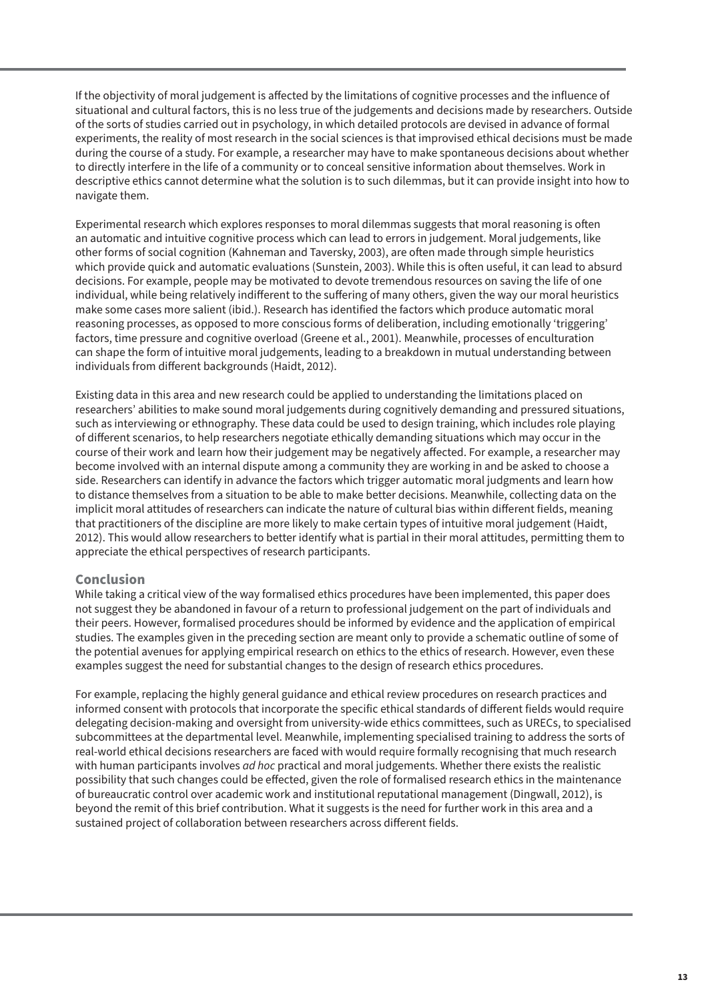If the objectivity of moral judgement is affected by the limitations of cognitive processes and the influence of situational and cultural factors, this is no less true of the judgements and decisions made by researchers. Outside of the sorts of studies carried out in psychology, in which detailed protocols are devised in advance of formal experiments, the reality of most research in the social sciences is that improvised ethical decisions must be made during the course of a study. For example, a researcher may have to make spontaneous decisions about whether to directly interfere in the life of a community or to conceal sensitive information about themselves. Work in descriptive ethics cannot determine what the solution is to such dilemmas, but it can provide insight into how to navigate them.

Experimental research which explores responses to moral dilemmas suggests that moral reasoning is often an automatic and intuitive cognitive process which can lead to errors in judgement. Moral judgements, like other forms of social cognition (Kahneman and Taversky, 2003), are often made through simple heuristics which provide quick and automatic evaluations (Sunstein, 2003). While this is often useful, it can lead to absurd decisions. For example, people may be motivated to devote tremendous resources on saving the life of one individual, while being relatively indifferent to the suffering of many others, given the way our moral heuristics make some cases more salient (ibid.). Research has identified the factors which produce automatic moral reasoning processes, as opposed to more conscious forms of deliberation, including emotionally 'triggering' factors, time pressure and cognitive overload (Greene et al., 2001). Meanwhile, processes of enculturation can shape the form of intuitive moral judgements, leading to a breakdown in mutual understanding between individuals from different backgrounds (Haidt, 2012).

Existing data in this area and new research could be applied to understanding the limitations placed on researchers' abilities to make sound moral judgements during cognitively demanding and pressured situations, such as interviewing or ethnography. These data could be used to design training, which includes role playing of different scenarios, to help researchers negotiate ethically demanding situations which may occur in the course of their work and learn how their judgement may be negatively affected. For example, a researcher may become involved with an internal dispute among a community they are working in and be asked to choose a side. Researchers can identify in advance the factors which trigger automatic moral judgments and learn how to distance themselves from a situation to be able to make better decisions. Meanwhile, collecting data on the implicit moral attitudes of researchers can indicate the nature of cultural bias within different fields, meaning that practitioners of the discipline are more likely to make certain types of intuitive moral judgement (Haidt, 2012). This would allow researchers to better identify what is partial in their moral attitudes, permitting them to appreciate the ethical perspectives of research participants.

## **Conclusion**

While taking a critical view of the way formalised ethics procedures have been implemented, this paper does not suggest they be abandoned in favour of a return to professional judgement on the part of individuals and their peers. However, formalised procedures should be informed by evidence and the application of empirical studies. The examples given in the preceding section are meant only to provide a schematic outline of some of the potential avenues for applying empirical research on ethics to the ethics of research. However, even these examples suggest the need for substantial changes to the design of research ethics procedures.

For example, replacing the highly general guidance and ethical review procedures on research practices and informed consent with protocols that incorporate the specific ethical standards of different fields would require delegating decision-making and oversight from university-wide ethics committees, such as URECs, to specialised subcommittees at the departmental level. Meanwhile, implementing specialised training to address the sorts of real-world ethical decisions researchers are faced with would require formally recognising that much research with human participants involves *ad hoc* practical and moral judgements. Whether there exists the realistic possibility that such changes could be effected, given the role of formalised research ethics in the maintenance of bureaucratic control over academic work and institutional reputational management (Dingwall, 2012), is beyond the remit of this brief contribution. What it suggests is the need for further work in this area and a sustained project of collaboration between researchers across different fields.